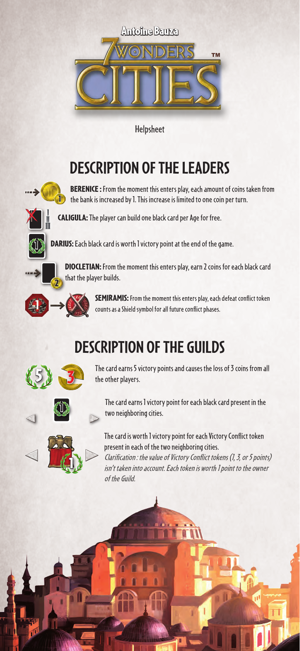

Helpsheet

## **DESCRIPTION OF THE LEADERS**



**BERENICE** : From the moment this enters play, each amount of coins taken from **1** the bank is increased by 1. This increase is limited to one coin per turn.



CALIGULA: The player can build one black card per Age for free.



DARIUS: Each black card is worth 1 victory point at the end of the game.

DIOCLETIAN: From the moment this enters play, earn 2 coins for each black card that the player builds.



SEMIRAMIS: From the moment this enters play, each defeat conflict token counts as a Shield symbol for all future conflict phases.

## **DESCRIPTION OF THE GUILDS**



The card earns 5 victory points and causes the loss of 3 coins from all the other players.





The card earns 1 victory point for each black card present in the two neighboring cities.

The card is worth 1 victory point for each Victory Conflict token present in each of the two neighboring cities.

Clarification: the value of Victory Conflict tokens (1, 3, or 5 points) isn't taken into account. Each token is worth 1 point to the owner of the Guild.